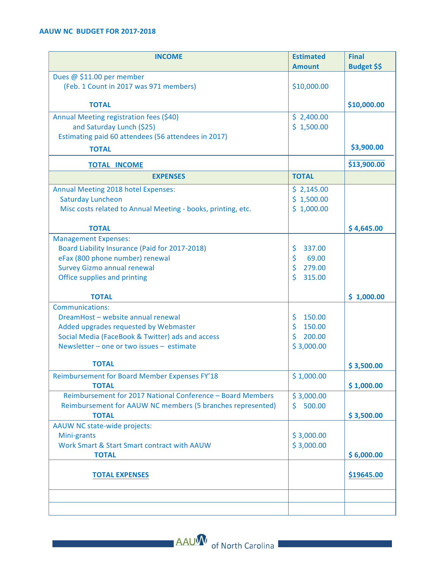| <b>INCOME</b>                                                | <b>Estimated</b> | <b>Final</b>       |
|--------------------------------------------------------------|------------------|--------------------|
|                                                              | <b>Amount</b>    | <b>Budget \$\$</b> |
| Dues @ \$11.00 per member                                    |                  |                    |
| (Feb. 1 Count in 2017 was 971 members)                       | \$10,000.00      |                    |
| <b>TOTAL</b>                                                 |                  | \$10,000.00        |
| Annual Meeting registration fees (\$40)                      | \$2,400.00       |                    |
| and Saturday Lunch (\$25)                                    | \$1,500.00       |                    |
| Estimating paid 60 attendees (56 attendees in 2017)          |                  |                    |
| <b>TOTAL</b>                                                 |                  | \$3,900.00         |
| <b>TOTAL INCOME</b>                                          |                  | \$13,900.00        |
| <b>EXPENSES</b>                                              | <b>TOTAL</b>     |                    |
| Annual Meeting 2018 hotel Expenses:                          | \$2,145.00       |                    |
| <b>Saturday Luncheon</b>                                     | \$1,500.00       |                    |
| Misc costs related to Annual Meeting - books, printing, etc. | \$1,000.00       |                    |
| <b>TOTAL</b>                                                 |                  | \$4,645.00         |
| <b>Management Expenses:</b>                                  |                  |                    |
| Board Liability Insurance (Paid for 2017-2018)               | \$<br>337.00     |                    |
| eFax (800 phone number) renewal                              | \$<br>69.00      |                    |
| <b>Survey Gizmo annual renewal</b>                           | \$<br>279.00     |                    |
| Office supplies and printing                                 | \$<br>315.00     |                    |
| <b>TOTAL</b>                                                 |                  | \$1,000.00         |
| Communications:                                              |                  |                    |
| DreamHost - website annual renewal                           | \$<br>150.00     |                    |
| Added upgrades requested by Webmaster                        | \$<br>150.00     |                    |
| Social Media (FaceBook & Twitter) ads and access             | \$<br>200.00     |                    |
| Newsletter - one or two issues - estimate                    | \$3,000.00       |                    |
| <b>TOTAL</b>                                                 |                  | \$3,500.00         |
| Reimbursement for Board Member Expenses FY'18                | \$1,000.00       |                    |
| <b>TOTAL</b>                                                 |                  | \$1,000.00         |
| Reimbursement for 2017 National Conference - Board Members   | \$3,000.00       |                    |
| Reimbursement for AAUW NC members (5 branches represented)   | 500.00<br>\$.    |                    |
| <b>TOTAL</b>                                                 |                  | \$3,500.00         |
| AAUW NC state-wide projects:                                 |                  |                    |
| Mini-grants                                                  | \$3,000.00       |                    |
| Work Smart & Start Smart contract with AAUW                  | \$3,000.00       |                    |
| <b>TOTAL</b>                                                 |                  | \$6,000.00         |
| <b>TOTAL EXPENSES</b>                                        |                  | \$19645.00         |
|                                                              |                  |                    |
|                                                              |                  |                    |